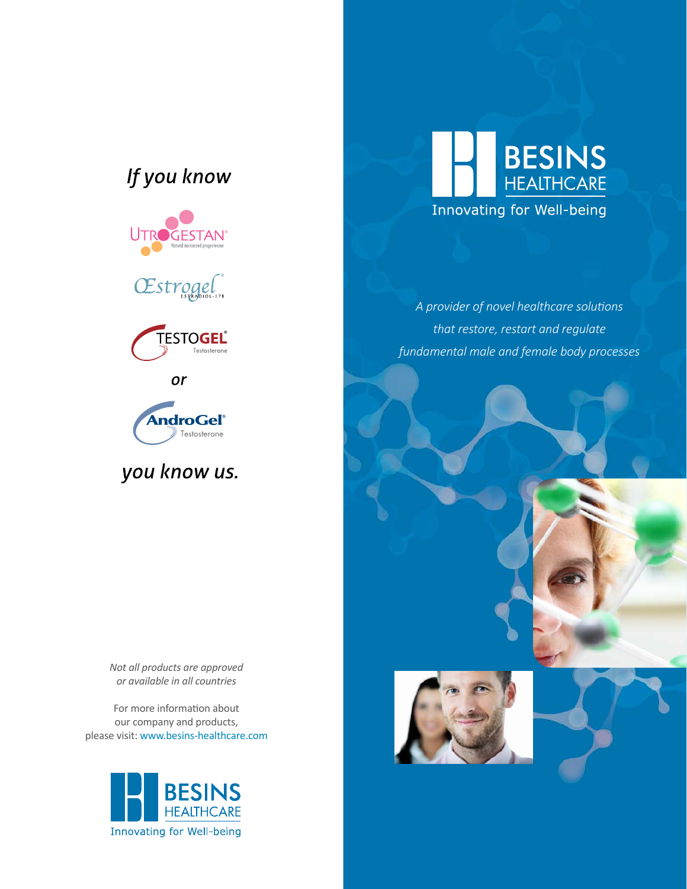## If you know







or



you know us.



*A provider of novel healthcare solutions that restore, restart and regulate fundamental male and female body processes*

*Not all products are approved or available in all countries*

For more information about our company and products, please visit: www.besins-healthcare.com